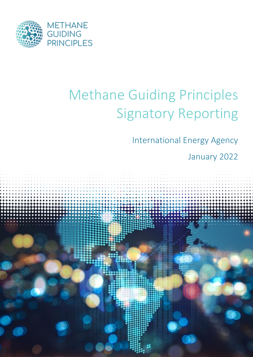

# Methane Guiding Principles Signatory Reporting

International Energy Agency

January 2022

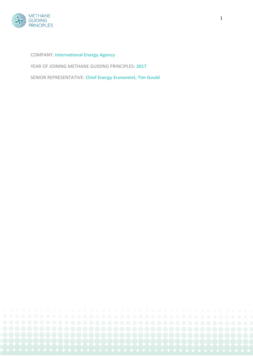

COMPANY: **International Energy Agency**

YEAR OF JOINING METHANE GUIDING PRINCIPLES: **2017**

SENIOR REPRESENTATIVE: **Chief Energy Economist, Tim Gould**

1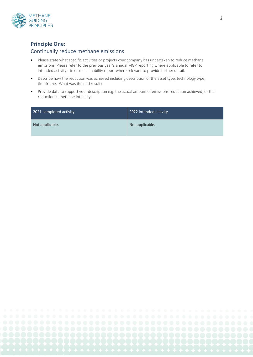

#### **Principle One:**

#### Continually reduce methane emissions

- Please state what specific activities or projects your company has undertaken to reduce methane emissions. Please refer to the previous year's annual MGP reporting where applicable to refer to intended activity. Link to sustainability report where relevant to provide further detail.
- Describe how the reduction was achieved including description of the asset type, technology type, timeframe. What was the end result?
- Provide data to support your description e.g. the actual amount of emissions reduction achieved, or the reduction in methane intensity.

| 2021 completed activity | 2022 intended activity |
|-------------------------|------------------------|
| Not applicable.         | Not applicable.        |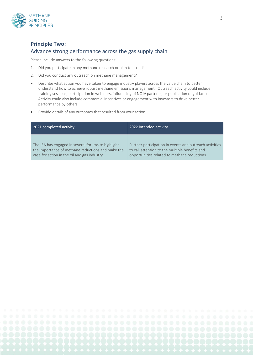

## **Principle Two:**  Advance strong performance across the gas supply chain

Please include answers to the following questions:

- 1. Did you participate in any methane research or plan to do so?
- 2. Did you conduct any outreach on methane management?
- Describe what action you have taken to engage industry players across the value chain to better understand how to achieve robust methane emissions management. Outreach activity could include training sessions, participation in webinars, influencing of NOJV partners, or publication of guidance. Activity could also include commercial incentives or engagement with investors to drive better performance by others.
- Provide details of any outcomes that resulted from your action.

| 2021 completed activity                            | 2022 intended activity                                  |
|----------------------------------------------------|---------------------------------------------------------|
| The IEA has engaged in several forums to highlight | Further participation in events and outreach activities |
| the importance of methane reductions and make the  | to call attention to the multiple benefits and          |
| case for action in the oil and gas industry.       | opportunities related to methane reductions.            |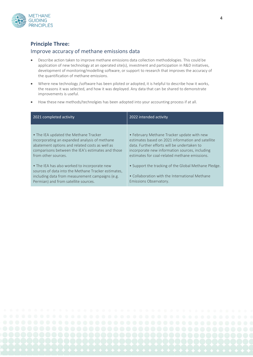

#### **Principle Three:**

#### Improve accuracy of methane emissions data

- Describe action taken to improve methane emissions data collection methodologies. This could be application of new technology at an operated site(s), investment and participation in R&D initiatives, development of monitoring/modelling software, or support to research that improves the accuracy of the quantification of methane emissions.
- Where new technology /software has been piloted or adopted, it is helpful to describe how it works, the reasons it was selected, and how it was deployed. Any data that can be shared to demonstrate improvements is useful.
- How these new methods/technolgies has been adopted into your accounting process if at all.

| 2021 completed activity                                                                                                                                                                                              | 2022 intended activity                                                                                                                                                                                                                            |
|----------------------------------------------------------------------------------------------------------------------------------------------------------------------------------------------------------------------|---------------------------------------------------------------------------------------------------------------------------------------------------------------------------------------------------------------------------------------------------|
| • The IEA updated the Methane Tracker<br>incorporating an expanded analysis of methane<br>abatement options and related costs as well as<br>comparisons between the IEA's estimates and those<br>from other sources. | • February Methane Tracker update with new<br>estimates based on 2021 information and satellite<br>data. Further efforts will be undertaken to<br>incorporate new information sources, including<br>estimates for coal-related methane emissions. |
| • The IEA has also worked to incorporate new<br>sources of data into the Methane Tracker estimates,<br>including data from measurement campaigns (e.g.<br>Permian) and from satellite sources.                       | • Support the tracking of the Global Methane Pledge.<br>• Collaboration with the International Methane<br>Emissions Observatory.                                                                                                                  |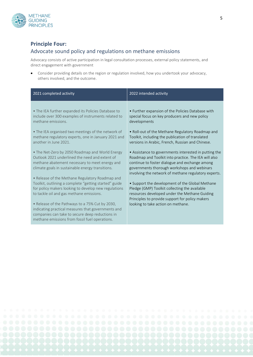

#### **Principle Four:**

#### Advocate sound policy and regulations on methane emissions

Advocacy consists of active participation in legal consultation processes, external policy statements, and direct engagement with government

• Consider providing details on the region or regulation involved, how you undertook your advocacy, others involved, and the outcome.

| 2021 completed activity                                                                                                                                                                                                                                                                                                                                                                                                                                                                                                                                                                                                                                                                                                                                                                                                                                                                                         | 2022 intended activity                                                                                                                                                                                                                                                                                                                                                                                                                                                                                                                                                                                                                                                                                                                                                                                 |
|-----------------------------------------------------------------------------------------------------------------------------------------------------------------------------------------------------------------------------------------------------------------------------------------------------------------------------------------------------------------------------------------------------------------------------------------------------------------------------------------------------------------------------------------------------------------------------------------------------------------------------------------------------------------------------------------------------------------------------------------------------------------------------------------------------------------------------------------------------------------------------------------------------------------|--------------------------------------------------------------------------------------------------------------------------------------------------------------------------------------------------------------------------------------------------------------------------------------------------------------------------------------------------------------------------------------------------------------------------------------------------------------------------------------------------------------------------------------------------------------------------------------------------------------------------------------------------------------------------------------------------------------------------------------------------------------------------------------------------------|
| • The IEA further expanded its Policies Database to<br>include over 300 examples of instruments related to<br>methane emissions.<br>• The IEA organised two meetings of the network of<br>methane regulatory experts, one in January 2021 and<br>another in June 2021.<br>. The Net-Zero by 2050 Roadmap and World Energy<br>Outlook 2021 underlined the need and extent of<br>methane abatement necessary to meet energy and<br>climate goals in sustainable energy transitions.<br>• Release of the Methane Regulatory Roadmap and<br>Toolkit, outlining a complete "getting started" guide<br>for policy makers looking to develop new regulations<br>to tackle oil and gas methane emissions.<br>• Release of the Pathways to a 75% Cut by 2030,<br>indicating practical measures that governments and<br>companies can take to secure deep reductions in<br>methane emissions from fossil fuel operations. | • Further expansion of the Policies Database with<br>special focus on key producers and new policy<br>developments<br>. Roll-out of the Methane Regulatory Roadmap and<br>Toolkit, including the publication of translated<br>versions in Arabic, French, Russian and Chinese.<br>• Assistance to governments interested in putting the<br>Roadmap and Toolkit into practice. The IEA will also<br>continue to foster dialogue and exchange among<br>governments thorough workshops and webinars<br>involving the network of methane regulatory experts.<br>• Support the development of the Global Methane<br>Pledge (GMP) Toolkit collecting the available<br>resources developed under the Methane Guiding<br>Principles to provide support for policy makers<br>looking to take action on methane. |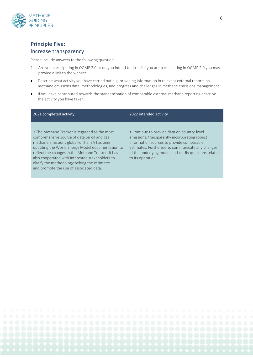

### **Principle Five:**

#### Increase transparency

Please include answers to the following question:

- 1. Are you participating in OGMP 2.0 or do you intend to do so? If you are participating in OGMP 2.0 you may provide a link to the website.
- Describe what activity you have carried out e.g. providing information in relevant external reports on methane emissions data, methodologies, and progress and challenges in methane emissions management.
- If you have contributed towards the standardisation of comparable external methane reporting describe the activity you have taken.

| 2021 completed activity                                                                                                                                                                                                                                                                                                                                                                              | 2022 intended activity                                                                                                                                                                                                                                                     |
|------------------------------------------------------------------------------------------------------------------------------------------------------------------------------------------------------------------------------------------------------------------------------------------------------------------------------------------------------------------------------------------------------|----------------------------------------------------------------------------------------------------------------------------------------------------------------------------------------------------------------------------------------------------------------------------|
| • The Methane Tracker is regarded as the most<br>comprehensive source of data on oil and gas<br>methane emissions globally. The IEA has been<br>updating the World Energy Model documentation to<br>reflect the changes in the Methane Tracker. It has<br>also cooperated with interested stakeholders to<br>clarify the methodology behing the estimates<br>and promote the use of associated data. | • Continue to provide data on country-level<br>emissions, transparently incorporating robust<br>information sources to provide comparable<br>estimates. Furthermore, communicate any changes<br>of the underlying model and clarify questions related<br>to its operation. |